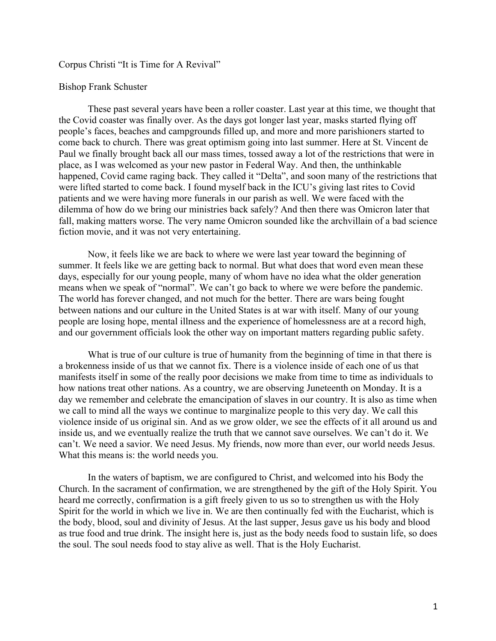## Corpus Christi "It is Time for A Revival"

## Bishop Frank Schuster

These past several years have been a roller coaster. Last year at this time, we thought that the Covid coaster was finally over. As the days got longer last year, masks started flying off people's faces, beaches and campgrounds filled up, and more and more parishioners started to come back to church. There was great optimism going into last summer. Here at St. Vincent de Paul we finally brought back all our mass times, tossed away a lot of the restrictions that were in place, as I was welcomed as your new pastor in Federal Way. And then, the unthinkable happened, Covid came raging back. They called it "Delta", and soon many of the restrictions that were lifted started to come back. I found myself back in the ICU's giving last rites to Covid patients and we were having more funerals in our parish as well. We were faced with the dilemma of how do we bring our ministries back safely? And then there was Omicron later that fall, making matters worse. The very name Omicron sounded like the archvillain of a bad science fiction movie, and it was not very entertaining.

Now, it feels like we are back to where we were last year toward the beginning of summer. It feels like we are getting back to normal. But what does that word even mean these days, especially for our young people, many of whom have no idea what the older generation means when we speak of "normal". We can't go back to where we were before the pandemic. The world has forever changed, and not much for the better. There are wars being fought between nations and our culture in the United States is at war with itself. Many of our young people are losing hope, mental illness and the experience of homelessness are at a record high, and our government officials look the other way on important matters regarding public safety.

What is true of our culture is true of humanity from the beginning of time in that there is a brokenness inside of us that we cannot fix. There is a violence inside of each one of us that manifests itself in some of the really poor decisions we make from time to time as individuals to how nations treat other nations. As a country, we are observing Juneteenth on Monday. It is a day we remember and celebrate the emancipation of slaves in our country. It is also as time when we call to mind all the ways we continue to marginalize people to this very day. We call this violence inside of us original sin. And as we grow older, we see the effects of it all around us and inside us, and we eventually realize the truth that we cannot save ourselves. We can't do it. We can't. We need a savior. We need Jesus. My friends, now more than ever, our world needs Jesus. What this means is: the world needs you.

In the waters of baptism, we are configured to Christ, and welcomed into his Body the Church. In the sacrament of confirmation, we are strengthened by the gift of the Holy Spirit. You heard me correctly, confirmation is a gift freely given to us so to strengthen us with the Holy Spirit for the world in which we live in. We are then continually fed with the Eucharist, which is the body, blood, soul and divinity of Jesus. At the last supper, Jesus gave us his body and blood as true food and true drink. The insight here is, just as the body needs food to sustain life, so does the soul. The soul needs food to stay alive as well. That is the Holy Eucharist.